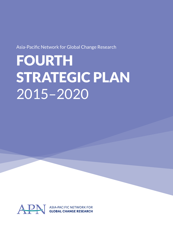Asia-Pacific Network for Global Change Research

# FOURTH STRATEGIC PLAN 2015–2020

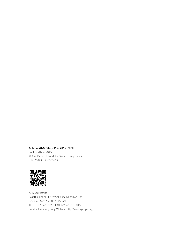#### **APN Fourth Strategic Plan 2015–2020**

Published May 2015 © Asia-Pacific Network for Global Change Research ISBN 978-4-9902500-3-4



APN Secretariat East Building 4F, 1-5-2 Wakinohama Kaigan Dori Chuo-ku, Kobe 651-0073 JAPAN TEL: +81 78 230 8017; FAX: +81 78 230 8018 Email: info@apn-gcr.org; Website: http://www.apn-gcr.org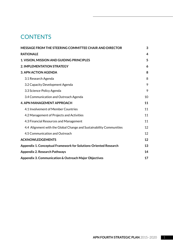# **CONTENTS**

| MESSAGE FROM THE STEERING COMMITTEE CHAIR AND DIRECTOR              |    |  |  |  |  |
|---------------------------------------------------------------------|----|--|--|--|--|
| <b>RATIONALE</b>                                                    | 4  |  |  |  |  |
| 1. VISION, MISSION AND GUIDING PRINCIPLES                           |    |  |  |  |  |
| 2. IMPLEMENTATION STRATEGY                                          | 6  |  |  |  |  |
| <b>3. APN ACTION AGENDA</b>                                         | 8  |  |  |  |  |
| 3.1 Research Agenda                                                 | 8  |  |  |  |  |
| 3.2 Capacity Development Agenda                                     | 9  |  |  |  |  |
| 3.3 Science-Policy Agenda                                           | 9  |  |  |  |  |
| 3.4 Communication and Outreach Agenda                               | 10 |  |  |  |  |
| <b>4. APN MANAGEMENT APPROACH</b>                                   |    |  |  |  |  |
| 4.1 Involvement of Member Countries                                 | 11 |  |  |  |  |
| 4.2 Management of Projects and Activities                           | 11 |  |  |  |  |
| 4.3 Financial Resources and Management                              | 11 |  |  |  |  |
| 4.4 Alignment with the Global Change and Sustainability Communities | 12 |  |  |  |  |
| 4.5 Communication and Outreach                                      | 12 |  |  |  |  |
| <b>ACKNOWLEDGEMENTS</b>                                             | 12 |  |  |  |  |
| Appendix 1. Conceptual Framework for Solutions-Oriented Research    |    |  |  |  |  |
| <b>Appendix 2. Research Pathways</b>                                |    |  |  |  |  |
| Appendix 3. Communication & Outreach Major Objectives               |    |  |  |  |  |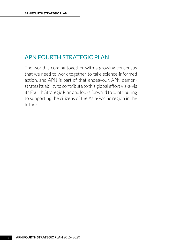# APN FOURTH STRATEGIC PLAN

The world is coming together with a growing consensus that we need to work together to take science-informed action, and APN is part of that endeavour. APN demonstrates its ability to contribute to this global effort vis-à-vis its Fourth Strategic Plan and looks forward to contributing to supporting the citizens of the Asia-Pacific region in the future.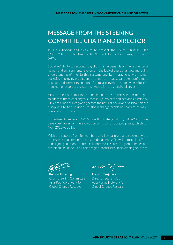# <span id="page-4-0"></span>MESSAGE FROM THE STEERING COMMITTEE CHAIR AND DIRECTOR

It is our honour and pleasure to present the Fourth Strategic Plan (2015–2020) of the Asia-Pacific Network for Global Change Research (APN).

Societies' ability to respond to global change depends on the resilience of human and environmental systems in the face of these changes. Improving understanding of the Earth's systems and its interactions with human societies, improving predictions of longer-term causes and trends of climate change, and preparing nations for future events by applying effective management tools of disaster risk reduction are grand challenges.

APN continues its mission to enable countries in the Asia-Pacific region to address these challenges successfully. Projects and activities funded by APN are aimed at integrating across the natural, social and political science disciplines to find solutions to global change problems that are of major concern in the region.

To realise its mission, APN's Fourth Strategic Plan (2015–2020) was developed based on the evaluation of its third strategic phase, which ran from 2010 to 2015.

With the support from its members and key partners and steered by the strategies stipulated in the present document, APN will enforce its efforts in designing solution-oriented collaborative research on global change and sustainability in the Asia-Pacific region, particularly in developing countries.

**Peldon Tshering** Chair, Steering Committee Asia-Pacific Network for Global Change Research

remodes toujohora

**Hiroshi Tsujihara** Director, Secretariat Asia-Pacific Network for Global Change Research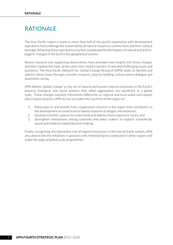# <span id="page-5-0"></span>RATIONALE

The Asia-Pacific region is home to more than half of the world's population with development aspirations that challenge the sustainability of natural resources, communities and their cultural heritage. Achieving these aspirations is further complicated by the impacts of natural and anthropogenic changes in the Earth's bio-geophysical system.

Recent research and supporting observations have provided new insights into these changes and their impacts but have, at the same time, raised a number of new and challenging issues and questions. The Asia-Pacific Network for Global Change Research (APN) seeks to identify and address these issues through scientific research, capacity building, science-policy dialogue and awareness raising.

APN defines "global change" as the set of natural and human-induced processes in the Earth's physical, biological, and social systems that, when aggregated, are significant at a global scale. These changes manifest themselves differently at regional and local scales and require place-based solutions. APN strives to enable the countries of the region to:

- 1. Participate in, and benefit from, cooperative research in the region that contributes to the development of sound science-based response strategies and measures;
- 2. Develop scientific capacity to understand and address these important issues; and
- 3. Strengthen interactions among scientists and policy makers to support scientifically sound and evidence-based decision-making.

Finally, recognising the interactive role of regional processes in the overall Earth system, APN also aims to link the initiatives it sponsors with related projects conducted in other regions and under the aegis of global-scale programmes.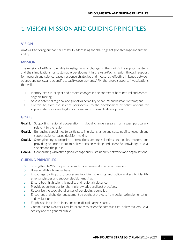# <span id="page-6-0"></span>1. VISION, MISSION AND GUIDING PRINCIPLES

## **VISION**

An Asia-Pacific region that is successfully addressing the challenges of global change and sustainability.

### **MISSION**

The mission of APN is to enable investigations of changes in the Earth's life support systems and their implications for sustainable development in the Asia-Pacific region through support for research and science-based response strategies and measures, effective linkages between science and policy, and scientific capacity development. APN, therefore, supports investigations that will:

- 1. Identify, explain, project and predict changes in the context of both natural and anthropogenic forcing;
- 2. Assess potential regional and global vulnerability of natural and human systems; and
- 3. Contribute, from the science perspective, to the development of policy options for appropriate responses to global change and sustainable development.

# **GOALS**

- **Goal 1.** Supporting regional cooperation in global change research on issues particularly relevant to the region
- **Goal 2.** Enhancing capabilities to participate in global change and sustainability research and support science-based decision-making
- **Goal 3.** Strengthening appropriate interactions among scientists and policy makers, and providing scientific input to policy decision-making and scientific knowledge to civil society and the public
- **Goal 4.** Cooperating with other global change and sustainability networks and organisations

# **GUIDING PRINCIPLES**

- Strengthen APN's unique niche and shared ownership among members.
- > Broaden APN's financial base.
- **Encourage participatory processes involving scientists and policy makers to identify** emerging issues and support decision-making.
- $\sum$  Ensure both high scientific quality and regional relevance.
- **Provide opportunities for sharing knowledge and best practices.**
- $\blacktriangleright$  Recognise the special challenges of developing countries.
- **>** Encourage stakeholder engagement throughout projects from design to implementation and evaluation.
- $\sum$  Emphasise interdisciplinary and transdisciplinary research.
- **>** Communicate Network results broadly to scientific communities, policy makers, civil society and the general public.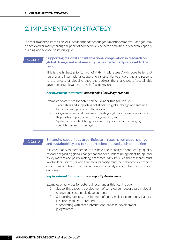# <span id="page-7-0"></span>2. IMPLEMENTATION STRATEGY

In order to achieve its mission, APN has identified the four goals mentioned above. Each goal may be achieved primarily through support of competitively selected activities in research, capacity building and science-policy dialogue.

#### **Supporting regional and international cooperation in research on global change and sustainability issues particularly relevant to the region**

This is the highest priority goal of APN. It addresses APN's core belief that regional and international cooperation is essential to understand and respond to the effects of global change and address the challenges of sustainable development, relevant to the Asia-Pacific region.

#### *Key Investment Instrument: Underpinning knowledge creation*

Examples of activities for potential focus under this goal include:

- 1. Facilitating and supporting collaborative global change and sustainability research projects in the region;
- 2. Organising regional meetings to highlight global change research and its possible implications for policy-making; and
- 3. Systematically identifying key scientific priorities and emerging scientific issues for the region.

### **GOAL 2**

**GOAL 1**

#### **Enhancing capabilities to participate in research on global change and sustainability and to support science-based decision-making**

It is vital that APN member countries have the capacity to conduct high quality research regarding global change that provides underpinning scientific input for policy makers and policy-making processes. APN believes that research must involve local scientists and that their capacity must be enhanced in order to develop and continue their research as well as analyse and utilise their research outcomes.

#### *Key Investment Instrument: Local capacity development*

Examples of activities for potential focus under this goal include:

- 1. Supporting capacity development of early-career researchers in global change and sustainable development;
- 2. Supporting capacity development of policy makers, community leaders, resource managers, etc.; and
- 3. Cooperating with other international capacity development programmes.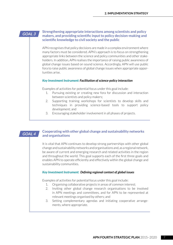#### **GOAL 3**

#### **Strengthening appropriate interactions among scientists and policy makers, and providing scientific input to policy decision-making and scientific knowledge to civil society and the public**

APN recognises that policy decisions are made in a complex environment where many factors must be considered. APN's approach is to focus on strengthening appropriate links between the science and policy communities and other stakeholders. In addition, APN realises the importance of raising public awareness of global change issues based on sound science. Accordingly, APN will use public fora to raise public awareness of global change issues when appropriate opportunities arise.

#### *Key Investment Instrument: Facilitation of science-policy interaction*

Examples of activities for potential focus under this goal include:

- 1. Pursuing existing or creating new fora for discussion and interaction between scientists and policy makers;
- 2. Supporting training workshops for scientists to develop skills and techniques in providing science-based tools to support policy development; and
- 3. Encouraging stakeholder involvement in all phases of projects.

### **GOAL 4**

#### **Cooperating with other global change and sustainability networks and organisations**

It is vital that APN continues to develop strong partnerships with other global change and sustainability networks and organisations and, as a regional network, be aware of current and emerging research and related activities in the region and throughout the world. This goal supports each of the first three goals and enables APN to operate efficiently and effectively within the global change and sustainability communities.

#### *Key Investment Instrument: Defining regional context of global issues*

Examples of activities for potential focus under this goal include:

- 1. Organising collaborative projects in areas of common interest;
- 2. Inviting other global change research organisations to be involved in APN meetings and committees, and for APN to be represented at relevant meetings organised by others; and
- 3. Setting complementary agendas and initiating cooperative arrangements, where appropriate.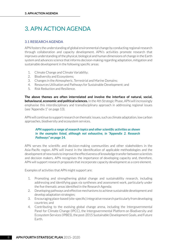# <span id="page-9-0"></span>3. APN ACTION AGENDA

### **3.1 RESEARCH AGENDA**

APN fosters the understanding of global environmental change by conducting regional research through collaboration and capacity development. APN's activities promote research that improves understanding of the physical, biological and human dimensions of change in the Earth system and advances science that informs decision-making regarding adaptation, mitigation and sustainable development in the following specific areas:

- 1. Climate Change and Climate Variability;
- 2. Biodiversity and Ecosystems;
- 3. Changes in the Atmospheric, Terrestrial and Marine Domains;
- 4. Resources Utilisation and Pathways for Sustainable Development; and
- 5. Risk Reduction and Resilience.

**The above themes are often interrelated and involve the interface of natural, social, behavioural, economic and political sciences.** In the 4th Strategic Phase, APN will increasingly emphasise this interdisciplinary and transdisciplinary approach in addressing regional issues (see ["Appendix 1" on page 13\)](#page-14-1).

APN will continue to support research on thematic issues, such as climate adaptation, low carbon approaches, biodiversity and ecosystem services.

### *APN supports a range of research topics and other scientific activities as shown in the examples listed, although not exhaustive, in ["Appendix 2. Research](#page-15-1)  [Pathways" on page 14.](#page-15-1)*

APN serves the scientific and decision-making communities and other stakeholders in the Asia-Pacific region. APN will invest in the identification of applicable methodologies and the development of new tools to improve the effectiveness of knowledge transfer between scientists and decision makers. APN recognises the importance of developing capacity and, therefore, APN will support research proposals that incorporate capacity development as a core element.

Examples of activities that APN might support are:

- 1. Promoting and strengthening global change and sustainability research, including addressing and identifying gaps via syntheses and assessment work, particularly under the five thematic areas identified in the Research Agenda;
- 2. Developing pathways and effective mechanisms to achieve sustainable development and develop adaptation strategies;
- 3. Encouraging place-based (site-specific) integrative research particularly from developing countries; and
- 4. Contributing to the evolving global change arena, including the Intergovernmental Panel for Climate Change (IPCC), the Intergovernmental Platform on Biodiversity and Ecosystem Services (IPBES), the post-2015 Sustainable Development Goals, and Future Earth.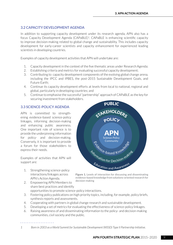# <span id="page-10-0"></span>**3.2 CAPACITY DEVELOPMENT AGENDA**

In addition to supporting capacity development under its research agenda, APN also has a focus Capacity Development Agenda (CAPaBLE)1. CAPaBLE is enhancing scientific capacity to improve decision-making related to global change and sustainability. This includes capacity development for early-career scientists and capacity enhancement for experienced leading scientists in developing countries.

Examples of capacity development activities that APN will undertake are:

- 1. Capacity development in the context of the five thematic areas under Research Agenda;
- 2. Establishing criteria and metrics for evaluating successful capacity development;
- 3. Contributing to capacity development components of the evolving global change arena, including the IPCC and IPBES, the post-2015 Sustainable Development Goals, and Future Earth;
- 4. Continue its capacity development efforts at levels from local to national, regional and global, particularly in developing countries; and
- 5. Continue to emphasise the successful "partnership" approach of CAPaBLE as the key for securing investment from stakeholders.

### **3.3 SCIENCE-POLICY AGENDA**

APN is committed to strengthening evidence-based science-policy linkages, informing decision-making and enhancing public awareness. One important role of science is to provide the underpinning information for policy- and decision-making. Conversely, it is important to provide a forum for those stakeholders to express their needs.

Examples of activities that APN will support are:

1. Strengthening science-policy interactions/linkages across APN's Action Agenda.

. . . . . . . . . . . . .



**Figure 1.** Levels of interaction for discussing and disseminating evidence-based knowledge from solutions-oriented research for decision-making

- 2. Empowering APN Members to share best practices and identify opportunities to promote science-policy interactions.
- 3. Fostering policy publications on high priority topics, including, for example, policy briefs, synthesis reports and assessments.
- 4. Cooperating with partners in global change research and sustainable development.
- 5. Developing a set of metrics for evaluating the effectiveness of science-policy linkages.
- 6. Raising awareness of and disseminating information to the policy- and decision-making communities, civil society and the public.

#### *1 Born in 2003 as a World Summit for Sustainable Development (WSSD) Type II Partnership Initiative.*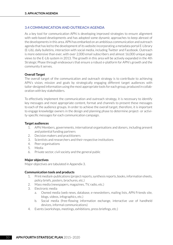#### <span id="page-11-0"></span>**3.4 COMMUNICATION AND OUTREACH AGENDA**

As a key tool for communication APN is developing improved strategies to ensure alignment with web-based developments and has adopted some dynamic approaches to keep abreast of the developments in this area. APN has embarked on an ambitious communication and outreach agenda that has led to the development of its website incorporating a metadata portal E-Library (E-Lib), daily bulletins, interaction with social media, including Twitter and Facebook. Outreach is more extensive than ever, with over 2,000 email subscribers and almost 16,000 unique page views to the E-Lib system in 2013. The growth in this area will be actively expanded in the 4th Strategic Phase through endeavours that ensure a robust e-platform for APN's growth and the community it serves.

#### **Overall Target**

The overall target of the communication and outreach strategy is to contribute to achieving APN's vision, mission and goals by strategically engaging different target audiences with tailor-designed information using the most appropriate tools for each group, produced in collaboration with key stakeholders.

To effectively implement the communication and outreach strategy, it is necessary to identify key messages and most appropriate content, format and channels to present these messages to each of the audience groups. In order to achieve the overall target, therefore, it is important to engage knowledge owners in the design and planning phase to determine project- or activity-specific messages for each communication campaign.

#### **Target audiences**

- 1. APN Members, governments, international organisations and donors, including present and potential funding partners
- 2. Decision makers and practitioners
- 3. Scientists and researchers and their respective institutions
- 4. Peer organisations
- 5. Media
- 6. Private sector, civil society and the general public

#### **Major objectives**

Major objectives are tabulated in Appendix 3.

#### **Communication tools and products**

- 1. Print media/e-publications (project reports, synthesis reports, books, information sheets, policy briefs, posters, brochures, etc.)
- 2. Mass media (newspapers, magazines, TV, radio, etc.)
- 3. Electronic media
	- a. Owned media (web news, database, e-newsletters, mailing lists, APN Friends site, blogs, videos, infographics, etc.)
	- b. Social media (free-flowing information exchange, interactive use of handheld devices, informal communications)
- 4. Events (workshops, meetings, exhibitions, press briefings, etc.)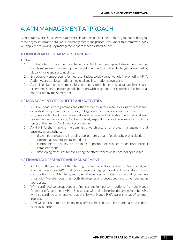# <span id="page-12-0"></span>4. APN MANAGEMENT APPROACH

APN's Framework Document sets out the roles and responsibilities of the organs and sub-organs of the organisation and details APN's arrangements and procedures. Under this framework APN will apply the following key management approaches as listed below.

### **4.1 INVOLVEMENT OF MEMBER COUNTRIES**

APN will:

- 1. Continue to promote the many benefits of APN membership and strengthen Member countries' sense of ownership, and assist them in facing the challenges presented by global change and sustainability;
- 2. Encourage Member countries' representatives to play an active role in promoting APN's Action Agenda at local, national, regional and international levels; and
- 3. Assist Member countries to establish national global change and sustainability research programmes, and encourage collaboration with neighbouring countries, facilitated as appropriate by the Secretariat.

# **4.2 MANAGEMENT OF PROJECTS AND ACTIVITIES**

- 1. APN will conduct programmes and other activities in four main areas, namely research, capacity development, science-policy linkages, and communication and outreach.
- 2. Proposals submitted under open calls will be selected through an international peer review process. In so doing, APN will actively expand its pool of reviewers to match the range of themes for APN's work programme.
- 3. APN will further improve the administrative structure for project management that ensures, among others:
	- $\bullet$  disseminating outputs, including appropriately quantified data, by project leaders in a form that is useful to stakeholders;
	- $\bullet$  continuing the policy of retaining a portion of project funds until project completion; and
	- **b** developing measures for evaluating the effectiveness of science-policy linkages.

### **4.3 FINANCIAL RESOURCES AND MANAGEMENT**

- 1. APN, with the guidance of the Steering Committee and support of the Secretariat, will look into diversifying APN funding sources, encouraging more direct financial and in-kind contributions from Members, and strengthening opportunities for co-funding partnerships with Member countries, both developing and developed, and other bodies, as appropriate.
- 2. With continued generous support (financial and in-kind contributions) from the Hyogo Prefectural Government, APN's Secretariat will maintain its headquarters in Kobe. APN will also continue to extend its relationship with Hyogo Prefecture in areas of common interest.
- 3. APN will continue to have its financial affairs checked by an internationally accredited external auditor.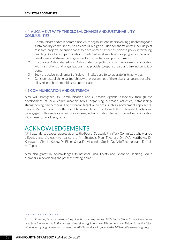#### <span id="page-13-0"></span>**4.4 ALIGNMENT WITH THE GLOBAL CHANGE AND SUSTAINABILITY COMMUNITIES**

- 1. Communicate and collaborate closely with organisations in the evolving global change and sustainability communities<sup>2</sup> to achieve APN's goals. Such collaboration will include joint research projects, scientific capacity development activities, science-policy interfacing, enabling Asia-Pacific participation in international meetings, scoping workshops and developing and strengthening networks of scientists and policy makers.
- 2. Encourage APN-initiated and APN-funded projects to proactively seek collaboration with institutions and organisations that provide co-sponsorship and in-kind contributions.
- 3. Seek the active involvement of relevant institutions to collaborate in its activities.
- 4. Consider establishing partnerships with programmes of the global change and sustainability research communities, as appropriate.

#### **4.5 COMMUNICATION AND OUTREACH**

APN will strengthen its Communication and Outreach Agenda, especially through the development of new communication tools, organising outreach activities, establishing/ strengthening partnerships. The different target audiences, such as government representatives of Member countries, the scientific research community and other interested parties will be engaged in this endeavour with tailor-designed information that is produced in collaboration with these stakeholder groups.

# ACKNOWLEDGEMENTS

APN extends its deepest appreciation to the Fourth Strategic Plan Task Committee who worked diligently and tirelessly to realise the 4th Strategic Plan. They are Dr. W.A. Matthews, Dr. Kanayathu Chacko Koshy, Dr. Eileen Shea, Dr. Alexander Sterin, Dr. Akio Takemoto and Dr. Luis M. Tupas.

APN also gratefully acknowledges its national Focal Points and Scientific Planning Group Members in developing the present strategic plan.

*2 For example, at the time of writing, global change programmes of ICSU's core Global Change Programmes have transitioned, or are in the process of transitioning, into a new 10-year initiative, Future Earth. For latest information of programmes and partners that APN is working with, refer to the APN website www.apn-gcr.org.*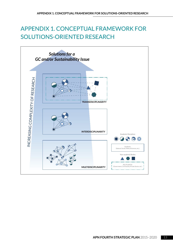# <span id="page-14-1"></span><span id="page-14-0"></span>APPENDIX 1. CONCEPTUAL FRAMEWORK FOR SOLUTIONS-ORIENTED RESEARCH

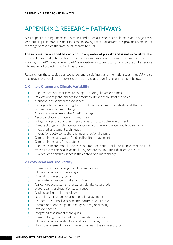# <span id="page-15-1"></span><span id="page-15-0"></span>APPENDIX 2. RESEARCH PATHWAYS

APN supports a range of research topics and other activities that help achieve its objectives. Without prejudice to APN's decisions, the following list of indicative topics provides examples of the range of research that may be of interest to APN.

**The information outlined below is not in any order of priority and is not exhaustive.** It is provided, essentially, to facilitate in-country discussions and to assist those interested in working with APN. Please refer to APN's website (www.apn-gcr.org) for accurate and extensive information of projects that APN has funded.

Research on these topics transcend beyond disciplinary and thematic issues, thus APN also encourages proposals that address crosscutting issues covering research topics below.

### **1. Climate Change and Climate Variability**

- Regional scenarios for climate change including climate extremes
- $\sum$  Implications of global change for predictability and stability of the Asian
- Monsoon, and societal consequences
- Synergies between adapting to current natural climate variability and that of future human-induced climate change
- $\blacktriangleright$  Adaptation measures in the Asia-Pacific region
- Aerosols, clouds, climate and human health
- Mitigation options and their implications for sustainable development
- $\sum$  Climate change and climate variability in cryosphere and water and food security
- **Integrated assessment techniques**
- **Interactions between global change and regional change**
- $\sum$  Climate change and water, food and health management
- $\sum$  Climate change and food systems
- **EXECT** Regional climate model downscaling for adaptation, risk, resilience that could be transferred to the local level (including remote communities, districts, cities, etc.)
- Risk reduction and resilience in the context of climate change

### **2. Ecosystems and Biodiversity**

- $\sum$  Changes in the carbon cycle and the water cycle
- Similary Global change and mountain systems
- **>** Coastal marine ecosystems
- $\sum$  Freshwater ecosystems, lakes and rivers
- **EXEC** Agriculture ecosystems, forests, rangelands, watersheds
- **>** Water quality and quantity, water reuse
- > Applied agricultural technology
- S Natural resources and environmental management
- **>** Fish-stock/live-stock assessments, natural and cultured
- Interactions between global change and regional change
- $\sum$  Invasive species
- **Integrated assessment techniques**
- $\sum$  Climate change, biodiversity and ecosystem services
- Supersional change and water, food and health management
- Holistic assessment involving several issues in the same ecosystem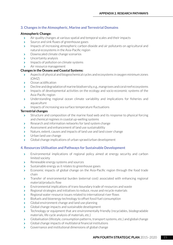# **3. Changes in the Atmospheric, Marine and Terrestrial Domains**

#### **Atmospheric Change:**

- **EXECT** Air quality changes at various spatial and temporal scales and their impacts
- Source and sink fluxes of greenhouse gases
- **>** Impacts of increasing atmospheric carbon dioxide and air pollutants on agricultural and natural ecosystems in the Asia-Pacific region
- **Downscaled climate change scenarios**
- $\rightarrow$  Uncertainty analysis
- **IMPACTS** of pollution on climate systems
- > Air resource management

### **Changes in the Oceans and Coastal Systems:**

- Aspects of physical and biogeochemical cycles and ecosystems in oxygen minimum zones  $(OMZ)$
- $\sum$  Ocean acidification
- **Decline and degradation of marine biodiversity, e.g., mangroves and coral reef ecosystems**
- **Impacts of developmental activities on the ecology and socio-economic systems of the** Asia-Pacific region
- **>** Understanding regional ocean climate variability and implications for fisheries and aquaculture
- **IMPACTE S** Impacts of increasing sea surface temperature fluctuations

#### **Terrestrial changes**

- Structure and composition of the marine food web and its response to physical forcing and chemical regimes in coastal up-welling systems
- S Research and information networks for land system change
- **S** Assessment and enhancement of land use sustainability
- S Nature, extent, causes and impacts of land use and land cover change
- $\blacktriangleright$  Urban land use change
- S Global change implications of urban sprawl/urban development

### **4. Resources Utilisation and Pathways for Sustainable Development**

- **Environmental implications of regional policy aimed at energy security and carbon** limited society
- **Renewable energy systems and sources**
- Sustainable energy as it relates to greenhouse gases
- **Economic impacts of global change on the Asia-Pacific region through the food trade** chain
- **>** Transfer of environmental burden (external cost) associated with enhancing regional material/products flow
- $\sum$  Environmental implications of trans-boundary trade of resources and waste
- S Regional strategies and initiatives to reduce, reuse and recycle materials
- Sumble 2.5 as a resource issues related to international river flows
- S Biofuels and bioenergy technology to offset fossil fuel consumption
- Superlington Global environment change and land use planning
- $\sum$  Global change impacts and sustainable development
- **EXECUTE:** Technology or equipment that are environmentally friendly (recyclables, biodegradable materials, life cycle analysis of materials, etc.)
- Subbalisation (lifestyle, consumption patterns, transport systems, etc.) and global change
- Subbal change impacts of multilateral financial institutions
- Subsectional Governance and institutional dimensions of global change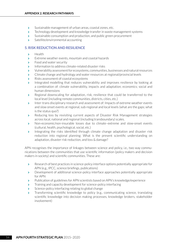- Sustainable management of urban areas, coastal zones, etc.
- **EXECT** Technology development and knowledge transfer in waste management systems
- Sustainable consumption and production, and public green procurement
- $\sum$  Satellite/environmental accounting

### **5. RISK REDUCTION AND RESILIENCE**

- $\left| \bullet \right|$  Health
- $\sum$  Extreme weather events, mountain and coastal hazards
- $\rightarrow$  Food and water security
- **Information to address climate-related disaster risks**
- [ Vulnerability assessment for ecosystems, communities, businesses and natural resources
- S Climate change and hydrology and water resources at regional/provincial levels
- **Risks assessment of coastal ecosystems**
- Integrated modelling that reduces vulnerability and improves resilience by looking at a combination of: climate vulnerability, impacts and adaptation; economics; social and human dimensions
- **Regional downscaling for adaptation, risk, resilience that could be transferred to the** local level (including remote communities, districts, cities, etc.)
- **Inter-trans disciplinary research and assessment of: Impacts of extreme weather events** and slow onset events at regional, sub-regional and local levels (what are the gaps; what is the status quo?)
- **Reducing loss by revisiting current aspects of Disaster Risk Management strategies** across local, national and regional (including transboundary) scales.
- [ Non-economic/non-insurable losses due to climate–extreme and slow-onset events (cultural, health, psychological, social, etc.)
- Integrating the risks identified through climate change adaptation and disaster risk reduction into regional planning: What is the present scientific understanding on adaptation, disaster risk reduction, and loss & damage?

APN recognises the importance of linkages between science and policy, i.e., two way communications between the communities that use scientific information (policy makers and decision makers in society) and scientific communities. These are:

- Subsementally appropriate for  $\overline{a}$  Research of best practices in science-policy interface options potentially appropriate for APN (e.g., IPCC, science briefings, publications)
- **>** Development of additional science-policy interface approaches potentially appropriate for APN
- **EXECUTE:** Publication of guidelines for APN scientists based on APN's knowledge/experience
- Training and capacity development for science-policy interfacing
- Science-policy interfacing relating to global change
- [ Transforming scientific knowledge to policy (e.g., communicating science, translating scientific knowledge into decision making processes, knowledge brokers, stakeholder involvement)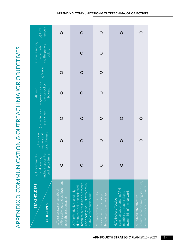<span id="page-18-0"></span>

|                                                       | members<br>$B$ APN                                                       |                                                                                          | $\overline{O}$                                                                                                                                                   | $\bigcirc$                                                                          |                                                                                                            | O                                                                                              |
|-------------------------------------------------------|--------------------------------------------------------------------------|------------------------------------------------------------------------------------------|------------------------------------------------------------------------------------------------------------------------------------------------------------------|-------------------------------------------------------------------------------------|------------------------------------------------------------------------------------------------------------|------------------------------------------------------------------------------------------------|
|                                                       | f) Private sector,<br>and the general<br>civil society<br>public         |                                                                                          |                                                                                                                                                                  | $\bigcirc$                                                                          |                                                                                                            |                                                                                                |
|                                                       | e) Media                                                                 |                                                                                          |                                                                                                                                                                  | $\bigcirc$                                                                          |                                                                                                            |                                                                                                |
|                                                       | organisations and<br>science-policy<br>forums<br>d) Peer                 | O                                                                                        | O                                                                                                                                                                | $\bigcirc$                                                                          |                                                                                                            |                                                                                                |
|                                                       | c) Scientists and<br>researchers                                         | O                                                                                        | $\Omega$                                                                                                                                                         | $\bigcirc$                                                                          |                                                                                                            |                                                                                                |
|                                                       | practitioners<br>makers and<br>b) Decision                               |                                                                                          |                                                                                                                                                                  | $\bigcirc$                                                                          |                                                                                                            | O                                                                                              |
|                                                       | including potential<br>funding partners<br>a) Governments<br>and donors, |                                                                                          |                                                                                                                                                                  |                                                                                     |                                                                                                            |                                                                                                |
| APPENDIX 3. COMMUNICATION & OUTREACH MAJOR OBJECTIVES | <b>STAKEHOLDERS</b><br><b>OBJECTIVES</b>                                 | APN's activities and achievement<br>1. To raise awareness about<br>over the past decades | technical outputs and outcomes<br>and findings of APN activities in<br>disseminate solution-oriented<br>2. To effectively and widely<br>suitable form and format | opportunities, including for<br>3. To inform about APN's<br>funding and partnership | communication among APN<br>members to support better<br>ownership of the Network<br>4. To foster effective | communication among scientists,<br>researchers and practitioners<br>5. To facilitate effective |